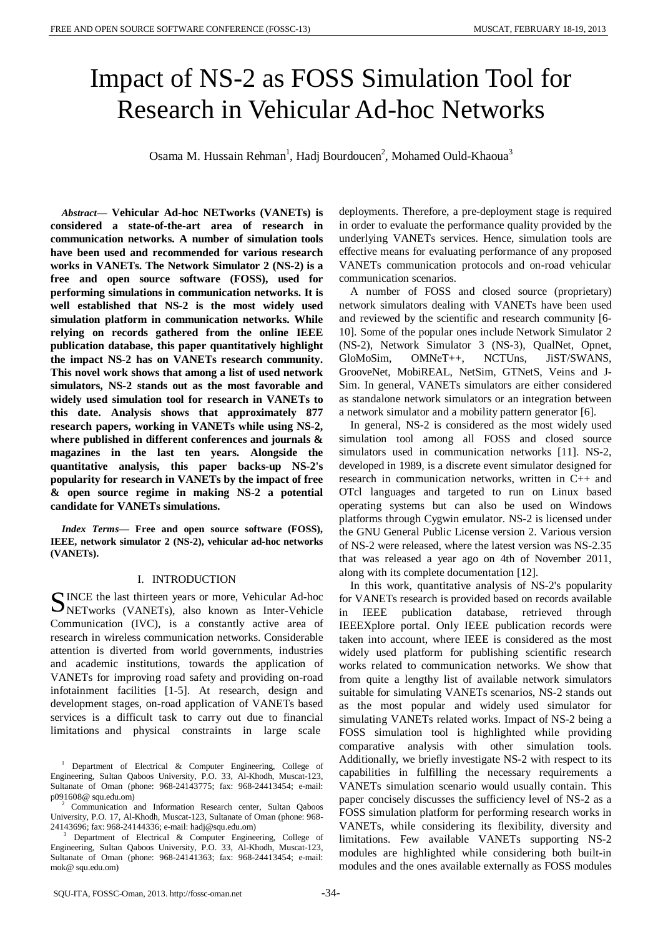# Impact of NS-2 as FOSS Simulation Tool for Research in Vehicular Ad-hoc Networks

Osama M. Hussain Rehman<sup>1</sup>, Hadj Bourdoucen<sup>2</sup>, Mohamed Ould-Khaoua<sup>3</sup>

*Abstract***— Vehicular Ad-hoc NETworks (VANETs) is considered a state-of-the-art area of research in communication networks. A number of simulation tools have been used and recommended for various research works in VANETs. The Network Simulator 2 (NS-2) is a free and open source software (FOSS), used for performing simulations in communication networks. It is well established that NS-2 is the most widely used simulation platform in communication networks. While relying on records gathered from the online IEEE publication database, this paper quantitatively highlight the impact NS-2 has on VANETs research community. This novel work shows that among a list of used network simulators, NS-2 stands out as the most favorable and widely used simulation tool for research in VANETs to this date. Analysis shows that approximately 877 research papers, working in VANETs while using NS-2, where published in different conferences and journals & magazines in the last ten years. Alongside the quantitative analysis, this paper backs-up NS-2's popularity for research in VANETs by the impact of free & open source regime in making NS-2 a potential candidate for VANETs simulations.**

*Index Terms***— Free and open source software (FOSS), IEEE, network simulator 2 (NS-2), vehicular ad-hoc networks (VANETs).**

### I. INTRODUCTION

INCE the last thirteen years or more, Vehicular Ad-hoc SINCE the last thirteen years or more, Vehicular Ad-hoc NETworks (VANETs), also known as Inter-Vehicle Communication (IVC), is a constantly active area of research in wireless communication networks. Considerable attention is diverted from world governments, industries and academic institutions, towards the application of VANETs for improving road safety and providing on-road infotainment facilities [1-5]. At research, design and development stages, on-road application of VANETs based services is a difficult task to carry out due to financial limitations and physical constraints in large scale

deployments. Therefore, a pre-deployment stage is required in order to evaluate the performance quality provided by the underlying VANETs services. Hence, simulation tools are effective means for evaluating performance of any proposed VANETs communication protocols and on-road vehicular communication scenarios.

A number of FOSS and closed source (proprietary) network simulators dealing with VANETs have been used and reviewed by the scientific and research community [6- 10]. Some of the popular ones include Network Simulator 2 (NS-2), Network Simulator 3 (NS-3), QualNet, Opnet, GloMoSim, OMNeT++, NCTUns, JiST/SWANS, GrooveNet, MobiREAL, NetSim, GTNetS, Veins and J-Sim. In general, VANETs simulators are either considered as standalone network simulators or an integration between a network simulator and a mobility pattern generator [6].

In general, NS-2 is considered as the most widely used simulation tool among all FOSS and closed source simulators used in communication networks [11]. NS-2, developed in 1989, is a discrete event simulator designed for research in communication networks, written in C++ and OTcl languages and targeted to run on Linux based operating systems but can also be used on Windows platforms through Cygwin emulator. NS-2 is licensed under the GNU General Public License version 2. Various version of NS-2 were released, where the latest version was NS-2.35 that was released a year ago on 4th of November 2011, along with its complete documentation [12].

In this work, quantitative analysis of NS-2's popularity for VANETs research is provided based on records available in IEEE publication database, retrieved through IEEEXplore portal. Only IEEE publication records were taken into account, where IEEE is considered as the most widely used platform for publishing scientific research works related to communication networks. We show that from quite a lengthy list of available network simulators suitable for simulating VANETs scenarios, NS-2 stands out as the most popular and widely used simulator for simulating VANETs related works. Impact of NS-2 being a FOSS simulation tool is highlighted while providing comparative analysis with other simulation tools. Additionally, we briefly investigate NS-2 with respect to its capabilities in fulfilling the necessary requirements a VANETs simulation scenario would usually contain. This paper concisely discusses the sufficiency level of NS-2 as a FOSS simulation platform for performing research works in VANETs, while considering its flexibility, diversity and limitations. Few available VANETs supporting NS-2 modules are highlighted while considering both built-in modules and the ones available externally as FOSS modules

<sup>&</sup>lt;sup>1</sup> Department of Electrical & Computer Engineering, College of Engineering, Sultan Qaboos University, P.O. 33, Al-Khodh, Muscat-123, Sultanate of Oman (phone: 968-24143775; fax: 968-24413454; e-mail:

Communication and Information Research center, Sultan Qaboos University, P.O. 17, Al-Khodh, Muscat-123, Sultanate of Oman (phone: 968-24143696; fax: 968-24144336; e-mail: hadj@squ.edu.om)

Department of Electrical & Computer Engineering, College of Engineering, Sultan Qaboos University, P.O. 33, Al-Khodh, Muscat-123, Sultanate of Oman (phone: 968-24141363; fax: 968-24413454; e-mail: mok@ squ.edu.om)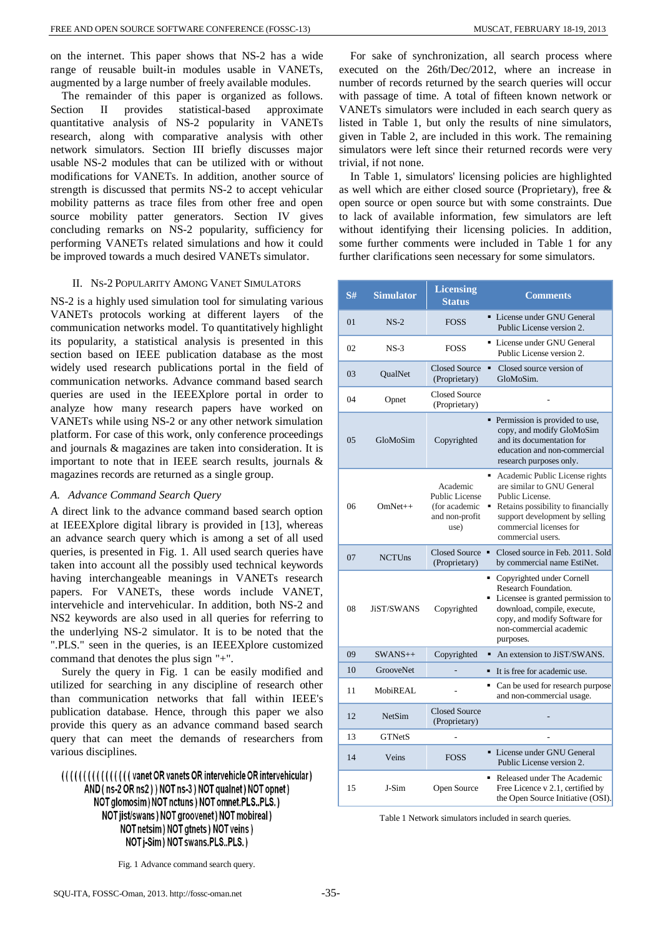on the internet. This paper shows that NS-2 has a wide range of reusable built-in modules usable in VANETs, augmented by a large number of freely available modules.

The remainder of this paper is organized as follows. Section II provides statistical-based approximate quantitative analysis of NS-2 popularity in VANETs research, along with comparative analysis with other network simulators. Section III briefly discusses major usable NS-2 modules that can be utilized with or without modifications for VANETs. In addition, another source of strength is discussed that permits NS-2 to accept vehicular mobility patterns as trace files from other free and open source mobility patter generators. Section IV gives concluding remarks on NS-2 popularity, sufficiency for performing VANETs related simulations and how it could be improved towards a much desired VANETs simulator.

#### II. NS-2 POPULARITY AMONG VANET SIMULATORS

NS-2 is a highly used simulation tool for simulating various VANETs protocols working at different layers of the communication networks model. To quantitatively highlight its popularity, a statistical analysis is presented in this section based on IEEE publication database as the most widely used research publications portal in the field of communication networks. Advance command based search queries are used in the IEEEXplore portal in order to analyze how many research papers have worked on VANETs while using NS-2 or any other network simulation platform. For case of this work, only conference proceedings and journals & magazines are taken into consideration. It is important to note that in IEEE search results, journals & magazines records are returned as a single group.

## *A. Advance Command Search Query*

A direct link to the advance command based search option at IEEEXplore digital library is provided in [13], whereas an advance search query which is among a set of all used queries, is presented in Fig. 1. All used search queries have taken into account all the possibly used technical keywords having interchangeable meanings in VANETs research papers. For VANETs, these words include VANET, intervehicle and intervehicular. In addition, both NS-2 and NS2 keywords are also used in all queries for referring to the underlying NS-2 simulator. It is to be noted that the ".PLS." seen in the queries, is an IEEEXplore customized command that denotes the plus sign "+".

Surely the query in Fig. 1 can be easily modified and utilized for searching in any discipline of research other than communication networks that fall within IEEE's publication database. Hence, through this paper we also provide this query as an advance command based search query that can meet the demands of researchers from various disciplines.

(((((((((((((()))) vanet OR vanets OR intervehicle OR intervehicular) AND (ns-2 OR ns2) ) NOT ns-3 ) NOT qualnet ) NOT opnet ) NOT glomosim) NOT nctuns) NOT omnet.PLS.,PLS.) NOT jist/swans) NOT groovenet) NOT mobireal) NOT netsim) NOT gtnets) NOT veins) NOT j-Sim) NOT swans.PLS..PLS.)

For sake of synchronization, all search process where executed on the 26th/Dec/2012, where an increase in number of records returned by the search queries will occur with passage of time. A total of fifteen known network or VANETs simulators were included in each search query as listed in Table 1, but only the results of nine simulators, given in Table 2, are included in this work. The remaining simulators were left since their returned records were very trivial, if not none.

In Table 1, simulators' licensing policies are highlighted as well which are either closed source (Proprietary), free & open source or open source but with some constraints. Due to lack of available information, few simulators are left without identifying their licensing policies. In addition, some further comments were included in Table 1 for any further clarifications seen necessary for some simulators.

| S#  | <b>Simulator</b> | <b>Licensing</b><br><b>Status</b>                                            | <b>Comments</b>                                                                                                                                                                                         |  |  |
|-----|------------------|------------------------------------------------------------------------------|---------------------------------------------------------------------------------------------------------------------------------------------------------------------------------------------------------|--|--|
| 01  | $NS-2$           | <b>FOSS</b>                                                                  | • License under GNU General<br>Public License version 2.                                                                                                                                                |  |  |
| 02  | $NS-3$           | <b>FOSS</b>                                                                  | • License under GNU General<br>Public License version 2.                                                                                                                                                |  |  |
| 03  | QualNet          | <b>Closed Source</b><br>(Proprietary)                                        | Closed source version of<br>٠<br>GloMoSim.                                                                                                                                                              |  |  |
| 04  | Opnet            | <b>Closed Source</b><br>(Proprietary)                                        |                                                                                                                                                                                                         |  |  |
| 0.5 | GloMoSim         | Copyrighted                                                                  | • Permission is provided to use,<br>copy, and modify GloMoSim<br>and its documentation for<br>education and non-commercial<br>research purposes only.                                                   |  |  |
| 06  | $OmNet++$        | Academic<br><b>Public License</b><br>(for academic<br>and non-profit<br>use) | Academic Public License rights<br>are similar to GNU General<br>Public License.<br>Retains possibility to financially<br>support development by selling<br>commercial licenses for<br>commercial users. |  |  |
| 07  | <b>NCTUns</b>    | <b>Closed Source</b><br>(Proprietary)                                        | Closed source in Feb. 2011. Sold<br>by commercial name EstiNet.                                                                                                                                         |  |  |
| 08  | JiST/SWANS       | Copyrighted                                                                  | Copyrighted under Cornell<br>Research Foundation.<br>Licensee is granted permission to<br>download, compile, execute,<br>copy, and modify Software for<br>non-commercial academic<br>purposes.          |  |  |
| 09  | $SWANS++$        | Copyrighted                                                                  | An extension to JiST/SWANS.                                                                                                                                                                             |  |  |
| 10  | <b>GrooveNet</b> |                                                                              | It is free for academic use.                                                                                                                                                                            |  |  |
| 11  | MobiREAL         |                                                                              | • Can be used for research purpose<br>and non-commercial usage.                                                                                                                                         |  |  |
| 12  | <b>NetSim</b>    | <b>Closed Source</b><br>(Proprietary)                                        |                                                                                                                                                                                                         |  |  |
| 13  | <b>GTNetS</b>    |                                                                              |                                                                                                                                                                                                         |  |  |
| 14  | Veins            | <b>FOSS</b>                                                                  | • License under GNU General<br>Public License version 2.                                                                                                                                                |  |  |
| 15  | J-Sim            | Open Source                                                                  | Released under The Academic<br>Free Licence v 2.1, certified by<br>the Open Source Initiative (OSI).                                                                                                    |  |  |

Table 1 Network simulators included in search queries.

Fig. 1 Advance command search query.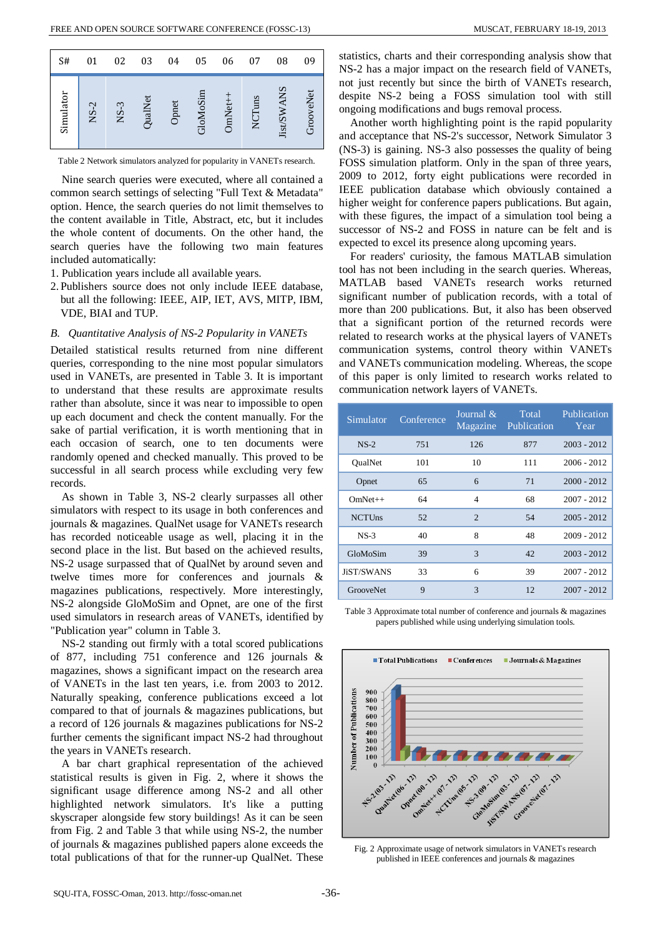| S#        | 01     | 02     | 03             | 04    | 05       | 06           | 07        | 08         | 09           |
|-----------|--------|--------|----------------|-------|----------|--------------|-----------|------------|--------------|
| Simulator | $NS-2$ | $NS-3$ | <b>QualNet</b> | Opnet | GloMoSin | <b>OmNet</b> | luns<br>Ž | Jist/SWANS | ooveNet<br>Ğ |

Table 2 Network simulators analyzed for popularity in VANETs research.

Nine search queries were executed, where all contained a common search settings of selecting "Full Text & Metadata" option. Hence, the search queries do not limit themselves to the content available in Title, Abstract, etc, but it includes the whole content of documents. On the other hand, the search queries have the following two main features included automatically:

- 1. Publication years include all available years.
- 2. Publishers source does not only include IEEE database, but all the following: IEEE, AIP, IET, AVS, MITP, IBM, VDE, BIAI and TUP.

#### *B. Quantitative Analysis of NS-2 Popularity in VANETs*

Detailed statistical results returned from nine different queries, corresponding to the nine most popular simulators used in VANETs, are presented in Table 3. It is important to understand that these results are approximate results rather than absolute, since it was near to impossible to open up each document and check the content manually. For the sake of partial verification, it is worth mentioning that in each occasion of search, one to ten documents were randomly opened and checked manually. This proved to be successful in all search process while excluding very few records.

As shown in Table 3, NS-2 clearly surpasses all other simulators with respect to its usage in both conferences and journals & magazines. QualNet usage for VANETs research has recorded noticeable usage as well, placing it in the second place in the list. But based on the achieved results, NS-2 usage surpassed that of QualNet by around seven and twelve times more for conferences and journals & magazines publications, respectively. More interestingly, NS-2 alongside GloMoSim and Opnet, are one of the first used simulators in research areas of VANETs, identified by "Publication year" column in Table 3.

NS-2 standing out firmly with a total scored publications of 877, including 751 conference and 126 journals & magazines, shows a significant impact on the research area of VANETs in the last ten years, i.e. from 2003 to 2012. Naturally speaking, conference publications exceed a lot compared to that of journals & magazines publications, but a record of 126 journals & magazines publications for NS-2 further cements the significant impact NS-2 had throughout the years in VANETs research.

A bar chart graphical representation of the achieved statistical results is given in Fig. 2, where it shows the significant usage difference among NS-2 and all other highlighted network simulators. It's like a putting skyscraper alongside few story buildings! As it can be seen from Fig. 2 and Table 3 that while using NS-2, the number of journals & magazines published papers alone exceeds the total publications of that for the runner-up QualNet. These statistics, charts and their corresponding analysis show that NS-2 has a major impact on the research field of VANETs, not just recently but since the birth of VANETs research, despite NS-2 being a FOSS simulation tool with still ongoing modifications and bugs removal process.

Another worth highlighting point is the rapid popularity and acceptance that NS-2's successor, Network Simulator 3 (NS-3) is gaining. NS-3 also possesses the quality of being FOSS simulation platform. Only in the span of three years, 2009 to 2012, forty eight publications were recorded in IEEE publication database which obviously contained a higher weight for conference papers publications. But again, with these figures, the impact of a simulation tool being a successor of NS-2 and FOSS in nature can be felt and is expected to excel its presence along upcoming years.

For readers' curiosity, the famous MATLAB simulation tool has not been including in the search queries. Whereas, MATLAB based VANETs research works returned significant number of publication records, with a total of more than 200 publications. But, it also has been observed that a significant portion of the returned records were related to research works at the physical layers of VANETs communication systems, control theory within VANETs and VANETs communication modeling. Whereas, the scope of this paper is only limited to research works related to communication network layers of VANETs.

| Simulator        | Conference  | Journal $\&$<br>Magazine | Total<br>Publication | Publication<br>Year |
|------------------|-------------|--------------------------|----------------------|---------------------|
| $NS-2$           | 751         | 126                      | 877                  | $2003 - 2012$       |
| <b>OualNet</b>   | 101         | 10                       | 111                  | $2006 - 2012$       |
| Opnet            | 65          | 6                        | 71                   | $2000 - 2012$       |
| $OmNet++$        | 64          | 4                        | 68                   | $2007 - 2012$       |
| <b>NCTUns</b>    | 52          | $\mathfrak{D}$           | 54                   | $2005 - 2012$       |
| $NS-3$           | 40          | 8                        | 48                   | 2009 - 2012         |
| GloMoSim         | 39          | 3                        | 42                   | $2003 - 2012$       |
| JiST/SWANS       | 33          | 6                        | 39                   | $2007 - 2012$       |
| <b>GrooveNet</b> | $\mathbf Q$ | 3                        | 12                   | $2007 - 2012$       |

Table 3 Approximate total number of conference and journals & magazines papers published while using underlying simulation tools.



Fig. 2 Approximate usage of network simulators in VANETs research published in IEEE conferences and journals & magazines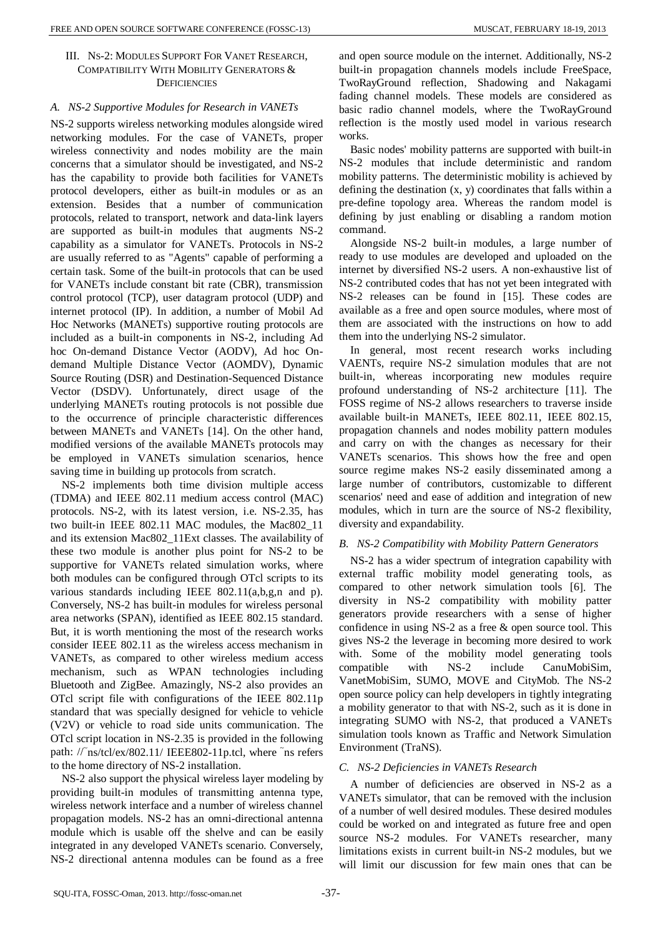## III. NS-2: MODULES SUPPORT FOR VANET RESEARCH, COMPATIBILITY WITH MOBILITY GENERATORS & **DEFICIENCIES**

## *A. NS-2 Supportive Modules for Research in VANETs*

NS-2 supports wireless networking modules alongside wired networking modules. For the case of VANETs, proper wireless connectivity and nodes mobility are the main concerns that a simulator should be investigated, and NS-2 has the capability to provide both facilities for VANETs protocol developers, either as built-in modules or as an extension. Besides that a number of communication protocols, related to transport, network and data-link layers are supported as built-in modules that augments NS-2 capability as a simulator for VANETs. Protocols in NS-2 are usually referred to as "Agents" capable of performing a certain task. Some of the built-in protocols that can be used for VANETs include constant bit rate (CBR), transmission control protocol (TCP), user datagram protocol (UDP) and internet protocol (IP). In addition, a number of Mobil Ad Hoc Networks (MANETs) supportive routing protocols are included as a built-in components in NS-2, including Ad hoc On-demand Distance Vector (AODV), Ad hoc Ondemand Multiple Distance Vector (AOMDV), Dynamic Source Routing (DSR) and Destination-Sequenced Distance Vector (DSDV). Unfortunately, direct usage of the underlying MANETs routing protocols is not possible due to the occurrence of principle characteristic differences between MANETs and VANETs [14]. On the other hand, modified versions of the available MANETs protocols may be employed in VANETs simulation scenarios, hence saving time in building up protocols from scratch.

NS-2 implements both time division multiple access (TDMA) and IEEE 802.11 medium access control (MAC) protocols. NS-2, with its latest version, i.e. NS-2.35, has two built-in IEEE 802.11 MAC modules, the Mac802\_11 and its extension Mac802\_11Ext classes. The availability of these two module is another plus point for NS-2 to be supportive for VANETs related simulation works, where both modules can be configured through OTcl scripts to its various standards including IEEE 802.11(a,b,g,n and p). Conversely, NS-2 has built-in modules for wireless personal area networks (SPAN), identified as IEEE 802.15 standard. But, it is worth mentioning the most of the research works consider IEEE 802.11 as the wireless access mechanism in VANETs, as compared to other wireless medium access mechanism, such as WPAN technologies including Bluetooth and ZigBee. Amazingly, NS-2 also provides an OTcl script file with configurations of the IEEE 802.11p standard that was specially designed for vehicle to vehicle (V2V) or vehicle to road side units communication. The OTcl script location in NS-2.35 is provided in the following path: //~ns/tcl/ex/802.11/ IEEE802-11p.tcl, where ~ns refers to the home directory of NS-2 installation.

NS-2 also support the physical wireless layer modeling by providing built-in modules of transmitting antenna type, wireless network interface and a number of wireless channel propagation models. NS-2 has an omni-directional antenna module which is usable off the shelve and can be easily integrated in any developed VANETs scenario. Conversely, NS-2 directional antenna modules can be found as a free and open source module on the internet. Additionally, NS-2 built-in propagation channels models include FreeSpace, TwoRayGround reflection, Shadowing and Nakagami fading channel models. These models are considered as basic radio channel models, where the TwoRayGround reflection is the mostly used model in various research works.

Basic nodes' mobility patterns are supported with built-in NS-2 modules that include deterministic and random mobility patterns. The deterministic mobility is achieved by defining the destination (x, y) coordinates that falls within a pre-define topology area. Whereas the random model is defining by just enabling or disabling a random motion command.

Alongside NS-2 built-in modules, a large number of ready to use modules are developed and uploaded on the internet by diversified NS-2 users. A non-exhaustive list of NS-2 contributed codes that has not yet been integrated with NS-2 releases can be found in [15]. These codes are available as a free and open source modules, where most of them are associated with the instructions on how to add them into the underlying NS-2 simulator.

In general, most recent research works including VAENTs, require NS-2 simulation modules that are not built-in, whereas incorporating new modules require profound understanding of NS-2 architecture [11]. The FOSS regime of NS-2 allows researchers to traverse inside available built-in MANETs, IEEE 802.11, IEEE 802.15, propagation channels and nodes mobility pattern modules and carry on with the changes as necessary for their VANETs scenarios. This shows how the free and open source regime makes NS-2 easily disseminated among a large number of contributors, customizable to different scenarios' need and ease of addition and integration of new modules, which in turn are the source of NS-2 flexibility, diversity and expandability.

## *B. NS-2 Compatibility with Mobility Pattern Generators*

NS-2 has a wider spectrum of integration capability with external traffic mobility model generating tools, as compared to other network simulation tools [6]. The diversity in NS-2 compatibility with mobility patter generators provide researchers with a sense of higher confidence in using NS-2 as a free & open source tool. This gives NS-2 the leverage in becoming more desired to work with. Some of the mobility model generating tools compatible with NS-2 include CanuMobiSim, VanetMobiSim, SUMO, MOVE and CityMob. The NS-2 open source policy can help developers in tightly integrating a mobility generator to that with NS-2, such as it is done in integrating SUMO with NS-2, that produced a VANETs simulation tools known as Traffic and Network Simulation Environment (TraNS).

## *C. NS-2 Deficiencies in VANETs Research*

A number of deficiencies are observed in NS-2 as a VANETs simulator, that can be removed with the inclusion of a number of well desired modules. These desired modules could be worked on and integrated as future free and open source NS-2 modules. For VANETs researcher, many limitations exists in current built-in NS-2 modules, but we will limit our discussion for few main ones that can be